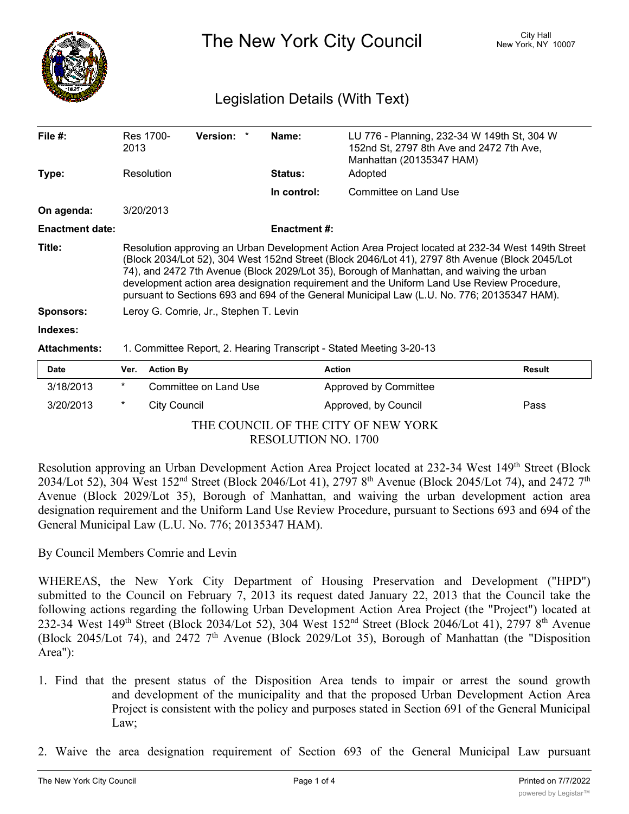

The New York City Council New York, NY 10007

## Legislation Details (With Text)

| File $#$ :             | 2013                                                                                                                                                                                                                                                                                                                                                                                                                                                                                           | Res 1700-           | <b>Version:</b>       |  | Name:              | LU 776 - Planning, 232-34 W 149th St, 304 W<br>152nd St, 2797 8th Ave and 2472 7th Ave,<br>Manhattan (20135347 HAM) |               |
|------------------------|------------------------------------------------------------------------------------------------------------------------------------------------------------------------------------------------------------------------------------------------------------------------------------------------------------------------------------------------------------------------------------------------------------------------------------------------------------------------------------------------|---------------------|-----------------------|--|--------------------|---------------------------------------------------------------------------------------------------------------------|---------------|
| Type:                  | Resolution                                                                                                                                                                                                                                                                                                                                                                                                                                                                                     |                     |                       |  | Status:            | Adopted                                                                                                             |               |
|                        |                                                                                                                                                                                                                                                                                                                                                                                                                                                                                                |                     |                       |  | In control:        | Committee on Land Use                                                                                               |               |
| On agenda:             |                                                                                                                                                                                                                                                                                                                                                                                                                                                                                                | 3/20/2013           |                       |  |                    |                                                                                                                     |               |
| <b>Enactment date:</b> |                                                                                                                                                                                                                                                                                                                                                                                                                                                                                                |                     |                       |  | <b>Enactment#:</b> |                                                                                                                     |               |
| Title:                 | Resolution approving an Urban Development Action Area Project located at 232-34 West 149th Street<br>(Block 2034/Lot 52), 304 West 152nd Street (Block 2046/Lot 41), 2797 8th Avenue (Block 2045/Lot<br>74), and 2472 7th Avenue (Block 2029/Lot 35), Borough of Manhattan, and waiving the urban<br>development action area designation requirement and the Uniform Land Use Review Procedure,<br>pursuant to Sections 693 and 694 of the General Municipal Law (L.U. No. 776; 20135347 HAM). |                     |                       |  |                    |                                                                                                                     |               |
| <b>Sponsors:</b>       | Leroy G. Comrie, Jr., Stephen T. Levin                                                                                                                                                                                                                                                                                                                                                                                                                                                         |                     |                       |  |                    |                                                                                                                     |               |
| Indexes:               |                                                                                                                                                                                                                                                                                                                                                                                                                                                                                                |                     |                       |  |                    |                                                                                                                     |               |
| <b>Attachments:</b>    | 1. Committee Report, 2. Hearing Transcript - Stated Meeting 3-20-13                                                                                                                                                                                                                                                                                                                                                                                                                            |                     |                       |  |                    |                                                                                                                     |               |
| <b>Date</b>            | Ver.                                                                                                                                                                                                                                                                                                                                                                                                                                                                                           | <b>Action By</b>    |                       |  | <b>Action</b>      |                                                                                                                     | <b>Result</b> |
| 3/18/2013              | $^\star$                                                                                                                                                                                                                                                                                                                                                                                                                                                                                       |                     | Committee on Land Use |  |                    | Approved by Committee                                                                                               |               |
| 3/20/2013              | *                                                                                                                                                                                                                                                                                                                                                                                                                                                                                              | <b>City Council</b> |                       |  |                    | Approved, by Council                                                                                                | Pass          |

THE COUNCIL OF THE CITY OF NEW YORK RESOLUTION NO. 1700

Resolution approving an Urban Development Action Area Project located at 232-34 West 149<sup>th</sup> Street (Block 2034/Lot 52), 304 West 152<sup>nd</sup> Street (Block 2046/Lot 41), 2797 8<sup>th</sup> Avenue (Block 2045/Lot 74), and 2472 7<sup>th</sup> Avenue (Block 2029/Lot 35), Borough of Manhattan, and waiving the urban development action area designation requirement and the Uniform Land Use Review Procedure, pursuant to Sections 693 and 694 of the General Municipal Law (L.U. No. 776; 20135347 HAM).

By Council Members Comrie and Levin

WHEREAS, the New York City Department of Housing Preservation and Development ("HPD") submitted to the Council on February 7, 2013 its request dated January 22, 2013 that the Council take the following actions regarding the following Urban Development Action Area Project (the "Project") located at 232-34 West 149th Street (Block 2034/Lot 52), 304 West 152nd Street (Block 2046/Lot 41), 2797 8th Avenue (Block 2045/Lot 74), and 2472 7<sup>th</sup> Avenue (Block 2029/Lot 35), Borough of Manhattan (the "Disposition Area"):

- 1. Find that the present status of the Disposition Area tends to impair or arrest the sound growth and development of the municipality and that the proposed Urban Development Action Area Project is consistent with the policy and purposes stated in Section 691 of the General Municipal Law;
- 2. Waive the area designation requirement of Section 693 of the General Municipal Law pursuant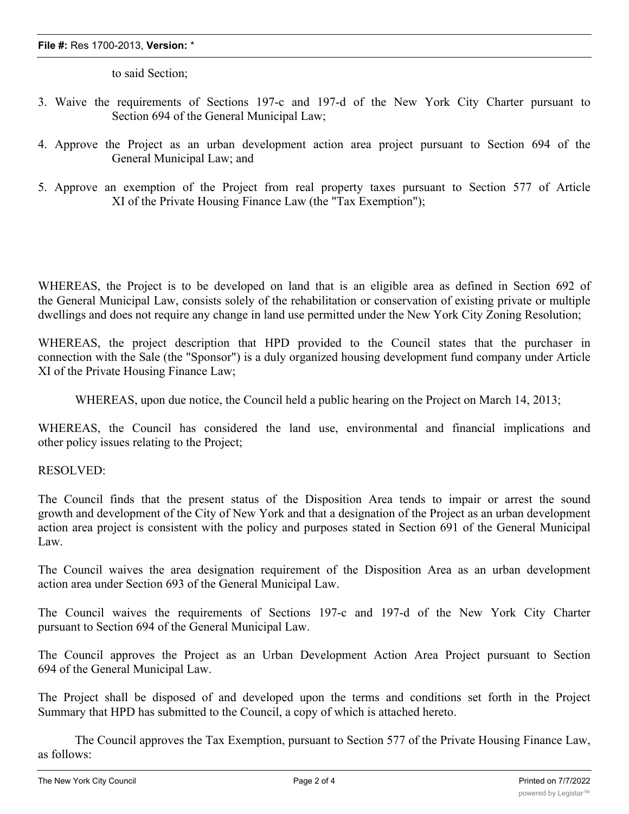## **File #:** Res 1700-2013, **Version:** \*

to said Section;

- 3. Waive the requirements of Sections 197-c and 197-d of the New York City Charter pursuant to Section 694 of the General Municipal Law;
- 4. Approve the Project as an urban development action area project pursuant to Section 694 of the General Municipal Law; and
- 5. Approve an exemption of the Project from real property taxes pursuant to Section 577 of Article XI of the Private Housing Finance Law (the "Tax Exemption");

WHEREAS, the Project is to be developed on land that is an eligible area as defined in Section 692 of the General Municipal Law, consists solely of the rehabilitation or conservation of existing private or multiple dwellings and does not require any change in land use permitted under the New York City Zoning Resolution;

WHEREAS, the project description that HPD provided to the Council states that the purchaser in connection with the Sale (the "Sponsor") is a duly organized housing development fund company under Article XI of the Private Housing Finance Law;

WHEREAS, upon due notice, the Council held a public hearing on the Project on March 14, 2013;

WHEREAS, the Council has considered the land use, environmental and financial implications and other policy issues relating to the Project;

## RESOLVED:

The Council finds that the present status of the Disposition Area tends to impair or arrest the sound growth and development of the City of New York and that a designation of the Project as an urban development action area project is consistent with the policy and purposes stated in Section 691 of the General Municipal Law.

The Council waives the area designation requirement of the Disposition Area as an urban development action area under Section 693 of the General Municipal Law.

The Council waives the requirements of Sections 197-c and 197-d of the New York City Charter pursuant to Section 694 of the General Municipal Law.

The Council approves the Project as an Urban Development Action Area Project pursuant to Section 694 of the General Municipal Law.

The Project shall be disposed of and developed upon the terms and conditions set forth in the Project Summary that HPD has submitted to the Council, a copy of which is attached hereto.

The Council approves the Tax Exemption, pursuant to Section 577 of the Private Housing Finance Law, as follows: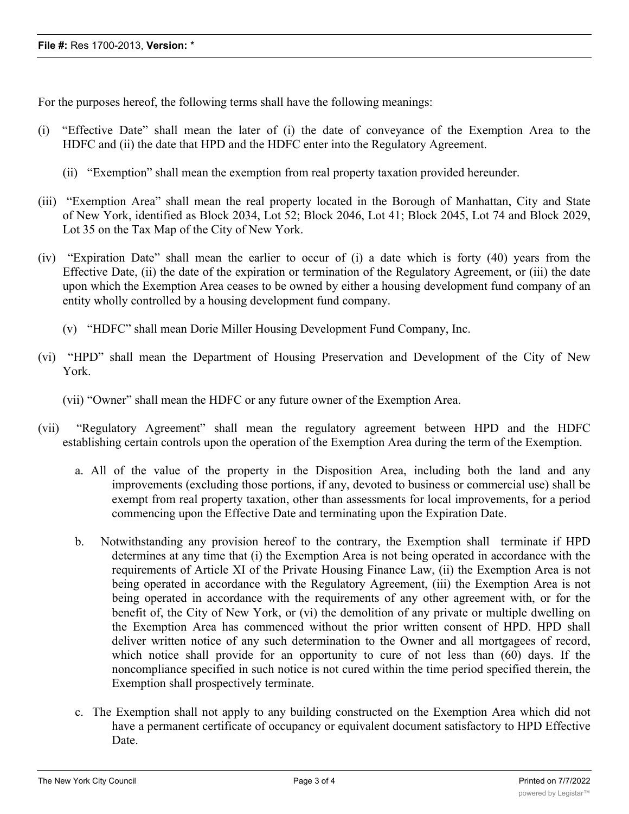For the purposes hereof, the following terms shall have the following meanings:

- (i) "Effective Date" shall mean the later of (i) the date of conveyance of the Exemption Area to the HDFC and (ii) the date that HPD and the HDFC enter into the Regulatory Agreement.
	- (ii) "Exemption" shall mean the exemption from real property taxation provided hereunder.
- (iii) "Exemption Area" shall mean the real property located in the Borough of Manhattan, City and State of New York, identified as Block 2034, Lot 52; Block 2046, Lot 41; Block 2045, Lot 74 and Block 2029, Lot 35 on the Tax Map of the City of New York.
- (iv) "Expiration Date" shall mean the earlier to occur of (i) a date which is forty (40) years from the Effective Date, (ii) the date of the expiration or termination of the Regulatory Agreement, or (iii) the date upon which the Exemption Area ceases to be owned by either a housing development fund company of an entity wholly controlled by a housing development fund company.
	- (v) "HDFC" shall mean Dorie Miller Housing Development Fund Company, Inc.
- (vi) "HPD" shall mean the Department of Housing Preservation and Development of the City of New York.
	- (vii) "Owner" shall mean the HDFC or any future owner of the Exemption Area.
- (vii) "Regulatory Agreement" shall mean the regulatory agreement between HPD and the HDFC establishing certain controls upon the operation of the Exemption Area during the term of the Exemption.
	- a. All of the value of the property in the Disposition Area, including both the land and any improvements (excluding those portions, if any, devoted to business or commercial use) shall be exempt from real property taxation, other than assessments for local improvements, for a period commencing upon the Effective Date and terminating upon the Expiration Date.
	- b. Notwithstanding any provision hereof to the contrary, the Exemption shall terminate if HPD determines at any time that (i) the Exemption Area is not being operated in accordance with the requirements of Article XI of the Private Housing Finance Law, (ii) the Exemption Area is not being operated in accordance with the Regulatory Agreement, (iii) the Exemption Area is not being operated in accordance with the requirements of any other agreement with, or for the benefit of, the City of New York, or (vi) the demolition of any private or multiple dwelling on the Exemption Area has commenced without the prior written consent of HPD. HPD shall deliver written notice of any such determination to the Owner and all mortgagees of record, which notice shall provide for an opportunity to cure of not less than (60) days. If the noncompliance specified in such notice is not cured within the time period specified therein, the Exemption shall prospectively terminate.
	- c. The Exemption shall not apply to any building constructed on the Exemption Area which did not have a permanent certificate of occupancy or equivalent document satisfactory to HPD Effective Date.

d. In consideration of the Exemption, the  $E_{\rm eff}$  the  $C_{\rm eff}$  of the Exemption Area, (i) exemption  $\alpha$